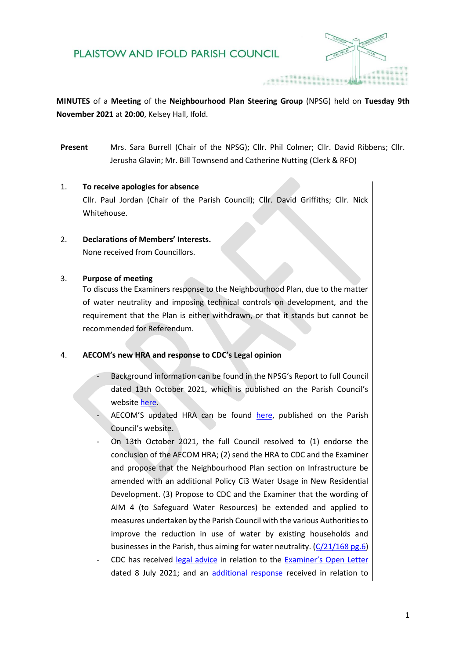## PLAISTOW AND IFOLD PARISH COUNCIL



**MINUTES** of a **Meeting** of the **Neighbourhood Plan Steering Group** (NPSG) held on **Tuesday 9th November 2021** at **20:00**, Kelsey Hall, Ifold.

**Present** Mrs. Sara Burrell (Chair of the NPSG); Cllr. Phil Colmer; Cllr. David Ribbens; Cllr. Jerusha Glavin; Mr. Bill Townsend and Catherine Nutting (Clerk & RFO)

#### 1. **To receive apologies for absence**

Cllr. Paul Jordan (Chair of the Parish Council); Cllr. David Griffiths; Cllr. Nick Whitehouse.

2. **Declarations of Members' Interests.**

None received from Councillors.

#### 3. **Purpose of meeting**

To discuss the Examiners response to the Neighbourhood Plan, due to the matter of water neutrality and imposing technical controls on development, and the requirement that the Plan is either withdrawn, or that it stands but cannot be recommended for Referendum.

### 4. **AECOM's new HRA and response to CDC's Legal opinion**

- Background information can be found in the NPSG's Report to full Council dated 13th October 2021, which is published on the Parish Council's website [here.](https://plaistowandifold.org.uk/media/General/NPSG%20Report%2013.10.2021.pdf)
- AECOM'S updated HRA can be found [here,](https://plaistowandifold.org.uk/media/General/Plaistow%20and%20Ifold%20NP%20HRA%20final_Optimized.pdf) published on the Parish Council's website.
- On 13th October 2021, the full Council resolved to (1) endorse the conclusion of the AECOM HRA; (2) send the HRA to CDC and the Examiner and propose that the Neighbourhood Plan section on Infrastructure be amended with an additional Policy Ci3 Water Usage in New Residential Development. (3) Propose to CDC and the Examiner that the wording of AIM 4 (to Safeguard Water Resources) be extended and applied to measures undertaken by the Parish Council with the various Authorities to improve the reduction in use of water by existing households and businesses in the Parish, thus aiming for water neutrality. [\(C/21/168 pg.6\)](https://plaistowandifold.org.uk/media/10.%20OCT%20Minutes%20Full%20Parish%20Council%20Meeting%2013.10.2021.pdf)
- CDC has received [legal advice](https://plaistowandifold.org.uk/media/CDC%20Legal%20Opinion%20September%202021%20.pdf) in relation to the [Examiner's Open Letter](https://plaistowandifold.org.uk/media/General/Examiner%20Open%20Letter%20to%20Plaistow%20and%20Ifold%20Parish.pdf) dated 8 July 2021; and an [additional response](https://plaistowandifold.org.uk/media/CDC%20Legal%20Opinion_further%20query%20October%202021%20.pdf) received in relation to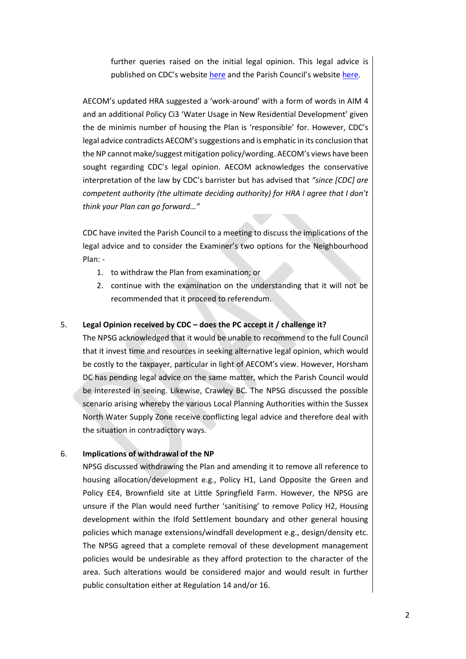further queries raised on the initial legal opinion. This legal advice is published on CDC's websit[e here](https://www.chichester.gov.uk/neighbourhoodplan) and the Parish Council's website [here.](https://plaistowandifold.org.uk/neighbourhood-plan)

AECOM's updated HRA suggested a 'work-around' with a form of words in AIM 4 and an additional Policy Ci3 'Water Usage in New Residential Development' given the de minimis number of housing the Plan is 'responsible' for. However, CDC's legal advice contradicts AECOM's suggestions and is emphatic in its conclusion that the NP cannot make/suggest mitigation policy/wording. AECOM's views have been sought regarding CDC's legal opinion. AECOM acknowledges the conservative interpretation of the law by CDC's barrister but has advised that *"since [CDC] are competent authority (the ultimate deciding authority) for HRA I agree that I don't think your Plan can go forward…"*

CDC have invited the Parish Council to a meeting to discuss the implications of the legal advice and to consider the Examiner's two options for the Neighbourhood Plan: -

- 1. to withdraw the Plan from examination; or
- 2. continue with the examination on the understanding that it will not be recommended that it proceed to referendum.

#### 5. **Legal Opinion received by CDC – does the PC accept it / challenge it?**

The NPSG acknowledged that it would be unable to recommend to the full Council that it invest time and resources in seeking alternative legal opinion, which would be costly to the taxpayer, particular in light of AECOM's view. However, Horsham DC has pending legal advice on the same matter, which the Parish Council would be interested in seeing. Likewise, Crawley BC. The NPSG discussed the possible scenario arising whereby the various Local Planning Authorities within the Sussex North Water Supply Zone receive conflicting legal advice and therefore deal with the situation in contradictory ways.

#### 6. **Implications of withdrawal of the NP**

NPSG discussed withdrawing the Plan and amending it to remove all reference to housing allocation/development e.g., Policy H1, Land Opposite the Green and Policy EE4, Brownfield site at Little Springfield Farm. However, the NPSG are unsure if the Plan would need further 'sanitising' to remove Policy H2, Housing development within the Ifold Settlement boundary and other general housing policies which manage extensions/windfall development e.g., design/density etc. The NPSG agreed that a complete removal of these development management policies would be undesirable as they afford protection to the character of the area. Such alterations would be considered major and would result in further public consultation either at Regulation 14 and/or 16.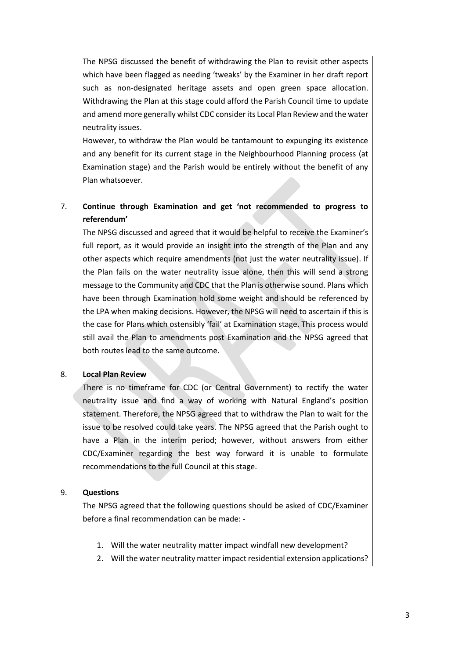The NPSG discussed the benefit of withdrawing the Plan to revisit other aspects which have been flagged as needing 'tweaks' by the Examiner in her draft report such as non-designated heritage assets and open green space allocation. Withdrawing the Plan at this stage could afford the Parish Council time to update and amend more generally whilst CDC consider its Local Plan Review and the water neutrality issues.

However, to withdraw the Plan would be tantamount to expunging its existence and any benefit for its current stage in the Neighbourhood Planning process (at Examination stage) and the Parish would be entirely without the benefit of any Plan whatsoever.

# 7. **Continue through Examination and get 'not recommended to progress to referendum'**

The NPSG discussed and agreed that it would be helpful to receive the Examiner's full report, as it would provide an insight into the strength of the Plan and any other aspects which require amendments (not just the water neutrality issue). If the Plan fails on the water neutrality issue alone, then this will send a strong message to the Community and CDC that the Plan is otherwise sound. Plans which have been through Examination hold some weight and should be referenced by the LPA when making decisions. However, the NPSG will need to ascertain if this is the case for Plans which ostensibly 'fail' at Examination stage. This process would still avail the Plan to amendments post Examination and the NPSG agreed that both routes lead to the same outcome.

## 8. **Local Plan Review**

There is no timeframe for CDC (or Central Government) to rectify the water neutrality issue and find a way of working with Natural England's position statement. Therefore, the NPSG agreed that to withdraw the Plan to wait for the issue to be resolved could take years. The NPSG agreed that the Parish ought to have a Plan in the interim period; however, without answers from either CDC/Examiner regarding the best way forward it is unable to formulate recommendations to the full Council at this stage.

## 9. **Questions**

The NPSG agreed that the following questions should be asked of CDC/Examiner before a final recommendation can be made: -

- 1. Will the water neutrality matter impact windfall new development?
- 2. Will the water neutrality matter impact residential extension applications?